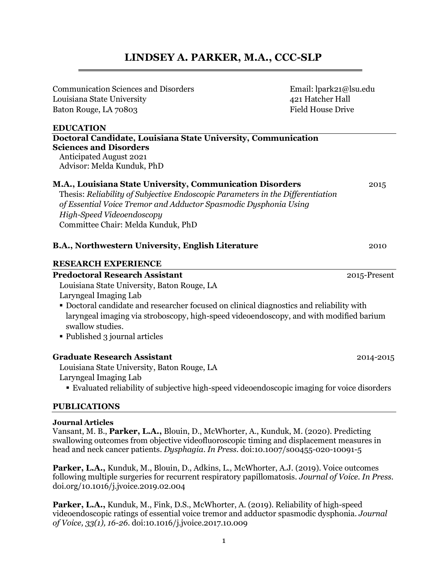# **LINDSEY A. PARKER, M.A., CCC-SLP**

| <b>Communication Sciences and Disorders</b>                                    | Email: lpark21@lsu.edu<br>421 Hatcher Hall<br>Field House Drive |  |
|--------------------------------------------------------------------------------|-----------------------------------------------------------------|--|
| Louisiana State University                                                     |                                                                 |  |
| Baton Rouge, LA 70803                                                          |                                                                 |  |
| <b>EDUCATION</b>                                                               |                                                                 |  |
| Doctoral Candidate, Louisiana State University, Communication                  |                                                                 |  |
| <b>Sciences and Disorders</b>                                                  |                                                                 |  |
| <b>Anticipated August 2021</b>                                                 |                                                                 |  |
| Advisor: Melda Kunduk, PhD                                                     |                                                                 |  |
| M.A., Louisiana State University, Communication Disorders                      | 2015                                                            |  |
| Thesis: Reliability of Subjective Endoscopic Parameters in the Differentiation |                                                                 |  |
| of Essential Voice Tremor and Adductor Spasmodic Dysphonia Using               |                                                                 |  |
| High-Speed Videoendoscopy                                                      |                                                                 |  |
| Committee Chair: Melda Kunduk, PhD                                             |                                                                 |  |
|                                                                                |                                                                 |  |
|                                                                                |                                                                 |  |

 **Predoctoral Research Assistant** 2015-Present **B.A., Northwestern University, English Literature** 2010 **RESEARCH EXPERIENCE** 

Louisiana State University, Baton Rouge, LA Laryngeal Imaging Lab

- Doctoral candidate and researcher focused on clinical diagnostics and reliability with laryngeal imaging via stroboscopy, high-speed videoendoscopy, and with modified barium swallow studies.
- Published 3 journal articles

 **Graduate Research Assistant** 2014-2015

Louisiana State University, Baton Rouge, LA

Laryngeal Imaging Lab ▪ Evaluated reliability of subjective high-speed videoendoscopic imaging for voice disorders

**PUBLICATIONS** 

#### **Journal Articles**

Vansant, M. B., **Parker, L.A.,** Blouin, D., McWhorter, A., Kunduk, M. (2020). Predicting swallowing outcomes from objective videofluoroscopic timing and displacement measures in head and neck cancer patients. *Dysphagia*. *In Press.* doi:10.1007/s00455-020-10091-5

**Parker, L.A.,** Kunduk, M., Blouin, D., Adkins, L., McWhorter, A.J. (2019). Voice outcomes following multiple surgeries for recurrent respiratory papillomatosis. *Journal of Voice. In Press.*  [doi.org/10.1016/j.jvoice.2019.02.004](https://doi.org/10.1016/j.jvoice.2019.02.004)

 videoendoscopic ratings of essential voice tremor and adductor spasmodic dysphonia. *Journal*  **Parker, L.A.,** Kunduk, M., Fink, D.S., McWhorter, A. (2019). Reliability of high-speed *of Voice, 33(1), 16-26.* doi:10.1016/j.jvoice.2017.10.009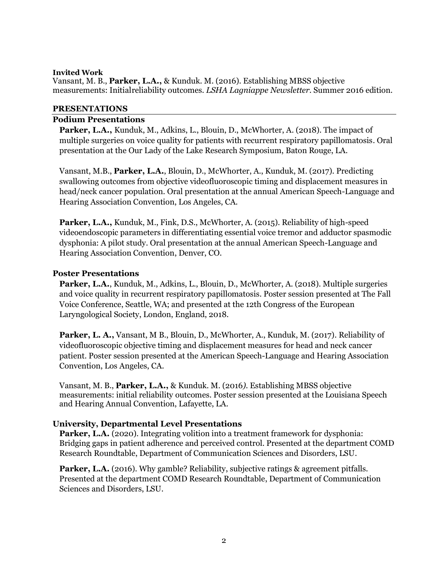#### measurements: Initialreliability outcomes. *LSHA Lagniappe Newsletter*. Summer 2016 edition. **Invited Work**  Vansant, M. B., **Parker, L.A.,** & Kunduk. M. (2016). Establishing MBSS objective

## **PRESENTATIONS**

#### **Podium Presentations**

Parker, L.A., Kunduk, M., Adkins, L., Blouin, D., McWhorter, A. (2018). The impact of multiple surgeries on voice quality for patients with recurrent respiratory papillomatosis. Oral presentation at the Our Lady of the Lake Research Symposium, Baton Rouge, LA.

Vansant, M.B., **Parker, L.A.**, Blouin, D., McWhorter, A., Kunduk, M. (2017). Predicting swallowing outcomes from objective videofluoroscopic timing and displacement measures in head/neck cancer population. Oral presentation at the annual American Speech-Language and Hearing Association Convention, Los Angeles, CA.

 dysphonia: A pilot study. Oral presentation at the annual American Speech-Language and **Parker, L.A.,** Kunduk, M., Fink, D.S., McWhorter, A. (2015). Reliability of high-speed videoendoscopic parameters in differentiating essential voice tremor and adductor spasmodic Hearing Association Convention, Denver, CO.

#### **Poster Presentations**

**Parker, L.A.**, Kunduk, M., Adkins, L., Blouin, D., McWhorter, A. (2018). Multiple surgeries and voice quality in recurrent respiratory papillomatosis. Poster session presented at The Fall Voice Conference, Seattle, WA; and presented at the 12th Congress of the European Laryngological Society, London, England, 2018.

**Parker, L. A.,** Vansant, M B., Blouin, D., McWhorter, A., Kunduk, M. (2017). Reliability of videofluoroscopic objective timing and displacement measures for head and neck cancer patient. Poster session presented at the American Speech-Language and Hearing Association Convention, Los Angeles, CA.

Vansant, M. B., **Parker, L.A.,** & Kunduk. M. (2016*).* Establishing MBSS objective measurements: initial reliability outcomes. Poster session presented at the Louisiana Speech and Hearing Annual Convention, Lafayette, LA.

# **University, Departmental Level Presentations**

Parker, L.A. (2020). Integrating volition into a treatment framework for dysphonia: Bridging gaps in patient adherence and perceived control. Presented at the department COMD Research Roundtable, Department of Communication Sciences and Disorders, LSU.

**Parker, L.A.** (2016). Why gamble? Reliability, subjective ratings & agreement pitfalls. Presented at the department COMD Research Roundtable, Department of Communication Sciences and Disorders, LSU.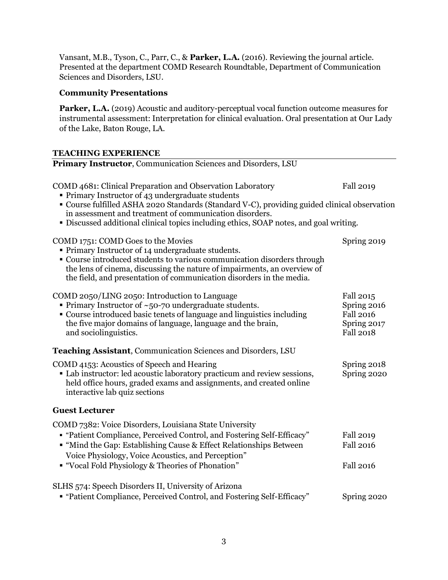Vansant, M.B., Tyson, C., Parr, C., & **Parker, L.A.** (2016). Reviewing the journal article. Presented at the department COMD Research Roundtable, Department of Communication Sciences and Disorders, LSU.

# **Community Presentations**

Parker, L.A. (2019) Acoustic and auditory-perceptual vocal function outcome measures for instrumental assessment: Interpretation for clinical evaluation. Oral presentation at Our Lady of the Lake, Baton Rouge, LA.

# **TEACHING EXPERIENCE**

| Primary Instructor, Communication Sciences and Disorders, LSU                                                                                                                                                                                                                                                                                                        |                                                                                 |  |
|----------------------------------------------------------------------------------------------------------------------------------------------------------------------------------------------------------------------------------------------------------------------------------------------------------------------------------------------------------------------|---------------------------------------------------------------------------------|--|
| COMD 4681: Clinical Preparation and Observation Laboratory<br>• Primary Instructor of 43 undergraduate students<br>" Course fulfilled ASHA 2020 Standards (Standard V-C), providing guided clinical observation<br>in assessment and treatment of communication disorders.<br>• Discussed additional clinical topics including ethics, SOAP notes, and goal writing. | Fall 2019                                                                       |  |
| COMD 1751: COMD Goes to the Movies<br>• Primary Instructor of 14 undergraduate students.<br>• Course introduced students to various communication disorders through<br>the lens of cinema, discussing the nature of impairments, an overview of<br>the field, and presentation of communication disorders in the media.                                              | Spring 2019                                                                     |  |
| COMD 2050/LING 2050: Introduction to Language<br>• Primary Instructor of $~50$ -70 undergraduate students.<br>• Course introduced basic tenets of language and linguistics including<br>the five major domains of language, language and the brain,<br>and sociolinguistics.                                                                                         | Fall 2015<br>Spring 2016<br><b>Fall 2016</b><br>Spring 2017<br><b>Fall 2018</b> |  |
| <b>Teaching Assistant, Communication Sciences and Disorders, LSU</b>                                                                                                                                                                                                                                                                                                 |                                                                                 |  |
| COMD 4153: Acoustics of Speech and Hearing<br>• Lab instructor: led acoustic laboratory practicum and review sessions,<br>held office hours, graded exams and assignments, and created online<br>interactive lab quiz sections                                                                                                                                       | Spring 2018<br>Spring 2020                                                      |  |
| <b>Guest Lecturer</b>                                                                                                                                                                                                                                                                                                                                                |                                                                                 |  |
| COMD 7382: Voice Disorders, Louisiana State University<br>• "Patient Compliance, Perceived Control, and Fostering Self-Efficacy"<br>" "Mind the Gap: Establishing Cause & Effect Relationships Between<br>Voice Physiology, Voice Acoustics, and Perception"<br>" "Vocal Fold Physiology & Theories of Phonation"                                                    | <b>Fall 2019</b><br><b>Fall 2016</b><br><b>Fall 2016</b>                        |  |
| SLHS 574: Speech Disorders II, University of Arizona<br>"Patient Compliance, Perceived Control, and Fostering Self-Efficacy"                                                                                                                                                                                                                                         | Spring 2020                                                                     |  |